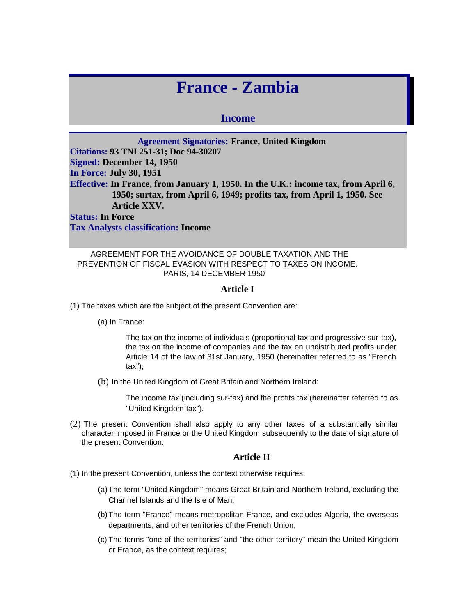# **France - Zambia**

## **Income**

**Agreement Signatories: France, United Kingdom Citations: 93 TNI 251-31; Doc 94-30207 Signed: December 14, 1950 In Force: July 30, 1951 Effective: In France, from January 1, 1950. In the U.K.: income tax, from April 6, 1950; surtax, from April 6, 1949; profits tax, from April 1, 1950. See Article XXV. Status: In Force**

**Tax Analysts classification: Income**

# AGREEMENT FOR THE AVOIDANCE OF DOUBLE TAXATION AND THE PREVENTION OF FISCAL EVASION WITH RESPECT TO TAXES ON INCOME. PARIS, 14 DECEMBER 1950

## **Article I**

- (1) The taxes which are the subject of the present Convention are:
	- (a) In France:

The tax on the income of individuals (proportional tax and progressive sur-tax), the tax on the income of companies and the tax on undistributed profits under Article 14 of the law of 31st January, 1950 (hereinafter referred to as "French tax");

(b) In the United Kingdom of Great Britain and Northern Ireland:

The income tax (including sur-tax) and the profits tax (hereinafter referred to as "United Kingdom tax").

(2) The present Convention shall also apply to any other taxes of a substantially similar character imposed in France or the United Kingdom subsequently to the date of signature of the present Convention.

## **Article II**

- (1) In the present Convention, unless the context otherwise requires:
	- (a)The term "United Kingdom" means Great Britain and Northern Ireland, excluding the Channel Islands and the Isle of Man;
	- (b)The term "France" means metropolitan France, and excludes Algeria, the overseas departments, and other territories of the French Union;
	- (c) The terms "one of the territories" and "the other territory" mean the United Kingdom or France, as the context requires;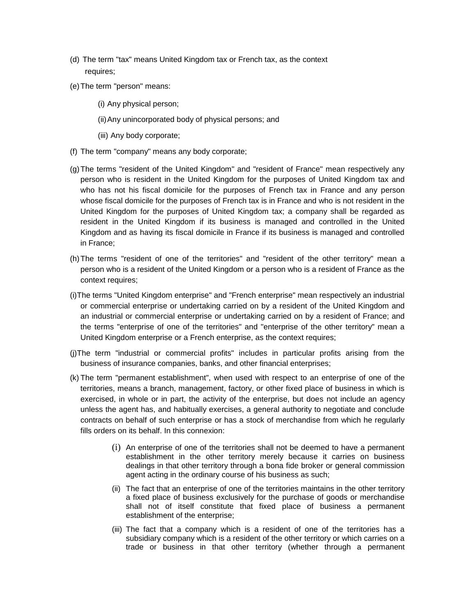- (d) The term "tax" means United Kingdom tax or French tax, as the context requires;
- (e)The term "person" means:
	- (i) Any physical person;
	- (ii)Any unincorporated body of physical persons; and
	- (iii) Any body corporate;
- (f) The term "company" means any body corporate;
- (g)The terms "resident of the United Kingdom" and "resident of France" mean respectively any person who is resident in the United Kingdom for the purposes of United Kingdom tax and who has not his fiscal domicile for the purposes of French tax in France and any person whose fiscal domicile for the purposes of French tax is in France and who is not resident in the United Kingdom for the purposes of United Kingdom tax; a company shall be regarded as resident in the United Kingdom if its business is managed and controlled in the United Kingdom and as having its fiscal domicile in France if its business is managed and controlled in France;
- (h)The terms "resident of one of the territories" and "resident of the other territory" mean a person who is a resident of the United Kingdom or a person who is a resident of France as the context requires;
- (i)The terms "United Kingdom enterprise" and "French enterprise" mean respectively an industrial or commercial enterprise or undertaking carried on by a resident of the United Kingdom and an industrial or commercial enterprise or undertaking carried on by a resident of France; and the terms "enterprise of one of the territories" and "enterprise of the other territory" mean a United Kingdom enterprise or a French enterprise, as the context requires;
- (j)The term "industrial or commercial profits" includes in particular profits arising from the business of insurance companies, banks, and other financial enterprises;
- (k) The term "permanent establishment", when used with respect to an enterprise of one of the territories, means a branch, management, factory, or other fixed place of business in which is exercised, in whole or in part, the activity of the enterprise, but does not include an agency unless the agent has, and habitually exercises, a general authority to negotiate and conclude contracts on behalf of such enterprise or has a stock of merchandise from which he regularly fills orders on its behalf. In this connexion:
	- (i) An enterprise of one of the territories shall not be deemed to have a permanent establishment in the other territory merely because it carries on business dealings in that other territory through a bona fide broker or general commission agent acting in the ordinary course of his business as such;
	- (ii) The fact that an enterprise of one of the territories maintains in the other territory a fixed place of business exclusively for the purchase of goods or merchandise shall not of itself constitute that fixed place of business a permanent establishment of the enterprise;
	- (iii) The fact that a company which is a resident of one of the territories has a subsidiary company which is a resident of the other territory or which carries on a trade or business in that other territory (whether through a permanent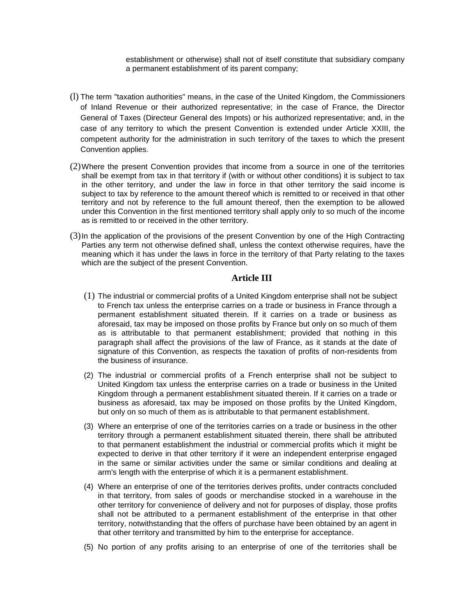establishment or otherwise) shall not of itself constitute that subsidiary company a permanent establishment of its parent company;

- (l) The term "taxation authorities" means, in the case of the United Kingdom, the Commissioners of Inland Revenue or their authorized representative; in the case of France, the Director General of Taxes (Directeur General des Impots) or his authorized representative; and, in the case of any territory to which the present Convention is extended under Article XXIII, the competent authority for the administration in such territory of the taxes to which the present Convention applies.
- (2)Where the present Convention provides that income from a source in one of the territories shall be exempt from tax in that territory if (with or without other conditions) it is subject to tax in the other territory, and under the law in force in that other territory the said income is subject to tax by reference to the amount thereof which is remitted to or received in that other territory and not by reference to the full amount thereof, then the exemption to be allowed under this Convention in the first mentioned territory shall apply only to so much of the income as is remitted to or received in the other territory.
- (3)In the application of the provisions of the present Convention by one of the High Contracting Parties any term not otherwise defined shall, unless the context otherwise requires, have the meaning which it has under the laws in force in the territory of that Party relating to the taxes which are the subject of the present Convention.

## **Article III**

- (1) The industrial or commercial profits of a United Kingdom enterprise shall not be subject to French tax unless the enterprise carries on a trade or business in France through a permanent establishment situated therein. If it carries on a trade or business as aforesaid, tax may be imposed on those profits by France but only on so much of them as is attributable to that permanent establishment; provided that nothing in this paragraph shall affect the provisions of the law of France, as it stands at the date of signature of this Convention, as respects the taxation of profits of non-residents from the business of insurance.
- (2) The industrial or commercial profits of a French enterprise shall not be subject to United Kingdom tax unless the enterprise carries on a trade or business in the United Kingdom through a permanent establishment situated therein. If it carries on a trade or business as aforesaid, tax may be imposed on those profits by the United Kingdom, but only on so much of them as is attributable to that permanent establishment.
- (3) Where an enterprise of one of the territories carries on a trade or business in the other territory through a permanent establishment situated therein, there shall be attributed to that permanent establishment the industrial or commercial profits which it might be expected to derive in that other territory if it were an independent enterprise engaged in the same or similar activities under the same or similar conditions and dealing at arm's length with the enterprise of which it is a permanent establishment.
- (4) Where an enterprise of one of the territories derives profits, under contracts concluded in that territory, from sales of goods or merchandise stocked in a warehouse in the other territory for convenience of delivery and not for purposes of display, those profits shall not be attributed to a permanent establishment of the enterprise in that other territory, notwithstanding that the offers of purchase have been obtained by an agent in that other territory and transmitted by him to the enterprise for acceptance.
- (5) No portion of any profits arising to an enterprise of one of the territories shall be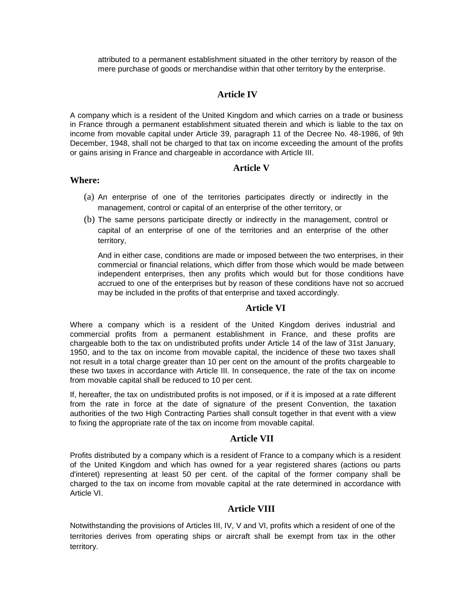attributed to a permanent establishment situated in the other territory by reason of the mere purchase of goods or merchandise within that other territory by the enterprise.

# **Article IV**

A company which is a resident of the United Kingdom and which carries on a trade or business in France through a permanent establishment situated therein and which is liable to the tax on income from movable capital under Article 39, paragraph 11 of the Decree No. 48-1986, of 9th December, 1948, shall not be charged to that tax on income exceeding the amount of the profits or gains arising in France and chargeable in accordance with Article III.

## **Article V**

## **Where:**

- (a) An enterprise of one of the territories participates directly or indirectly in the management, control or capital of an enterprise of the other territory, or
- (b) The same persons participate directly or indirectly in the management, control or capital of an enterprise of one of the territories and an enterprise of the other territory,

And in either case, conditions are made or imposed between the two enterprises, in their commercial or financial relations, which differ from those which would be made between independent enterprises, then any profits which would but for those conditions have accrued to one of the enterprises but by reason of these conditions have not so accrued may be included in the profits of that enterprise and taxed accordingly.

## **Article VI**

Where a company which is a resident of the United Kingdom derives industrial and commercial profits from a permanent establishment in France, and these profits are chargeable both to the tax on undistributed profits under Article 14 of the law of 31st January, 1950, and to the tax on income from movable capital, the incidence of these two taxes shall not result in a total charge greater than 10 per cent on the amount of the profits chargeable to these two taxes in accordance with Article III. In consequence, the rate of the tax on income from movable capital shall be reduced to 10 per cent.

If, hereafter, the tax on undistributed profits is not imposed, or if it is imposed at a rate different from the rate in force at the date of signature of the present Convention, the taxation authorities of the two High Contracting Parties shall consult together in that event with a view to fixing the appropriate rate of the tax on income from movable capital.

## **Article VII**

Profits distributed by a company which is a resident of France to a company which is a resident of the United Kingdom and which has owned for a year registered shares (actions ou parts d'interet) representing at least 50 per cent. of the capital of the former company shall be charged to the tax on income from movable capital at the rate determined in accordance with Article VI.

# **Article VIII**

Notwithstanding the provisions of Articles III, IV, V and VI, profits which a resident of one of the territories derives from operating ships or aircraft shall be exempt from tax in the other territory.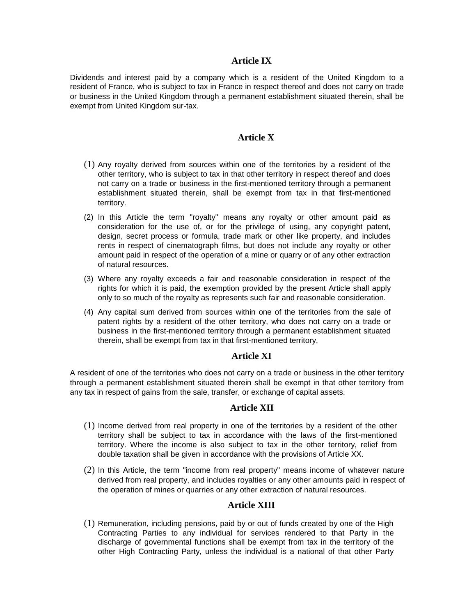## **Article IX**

Dividends and interest paid by a company which is a resident of the United Kingdom to a resident of France, who is subject to tax in France in respect thereof and does not carry on trade or business in the United Kingdom through a permanent establishment situated therein, shall be exempt from United Kingdom sur-tax.

## **Article X**

- (1) Any royalty derived from sources within one of the territories by a resident of the other territory, who is subject to tax in that other territory in respect thereof and does not carry on a trade or business in the first-mentioned territory through a permanent establishment situated therein, shall be exempt from tax in that first-mentioned territory.
- (2) In this Article the term "royalty" means any royalty or other amount paid as consideration for the use of, or for the privilege of using, any copyright patent, design, secret process or formula, trade mark or other like property, and includes rents in respect of cinematograph films, but does not include any royalty or other amount paid in respect of the operation of a mine or quarry or of any other extraction of natural resources.
- (3) Where any royalty exceeds a fair and reasonable consideration in respect of the rights for which it is paid, the exemption provided by the present Article shall apply only to so much of the royalty as represents such fair and reasonable consideration.
- (4) Any capital sum derived from sources within one of the territories from the sale of patent rights by a resident of the other territory, who does not carry on a trade or business in the first-mentioned territory through a permanent establishment situated therein, shall be exempt from tax in that first-mentioned territory.

## **Article XI**

A resident of one of the territories who does not carry on a trade or business in the other territory through a permanent establishment situated therein shall be exempt in that other territory from any tax in respect of gains from the sale, transfer, or exchange of capital assets.

## **Article XII**

- (1) Income derived from real property in one of the territories by a resident of the other territory shall be subject to tax in accordance with the laws of the first-mentioned territory. Where the income is also subject to tax in the other territory, relief from double taxation shall be given in accordance with the provisions of Article XX.
- (2) In this Article, the term "income from real property" means income of whatever nature derived from real property, and includes royalties or any other amounts paid in respect of the operation of mines or quarries or any other extraction of natural resources.

## **Article XIII**

(1) Remuneration, including pensions, paid by or out of funds created by one of the High Contracting Parties to any individual for services rendered to that Party in the discharge of governmental functions shall be exempt from tax in the territory of the other High Contracting Party, unless the individual is a national of that other Party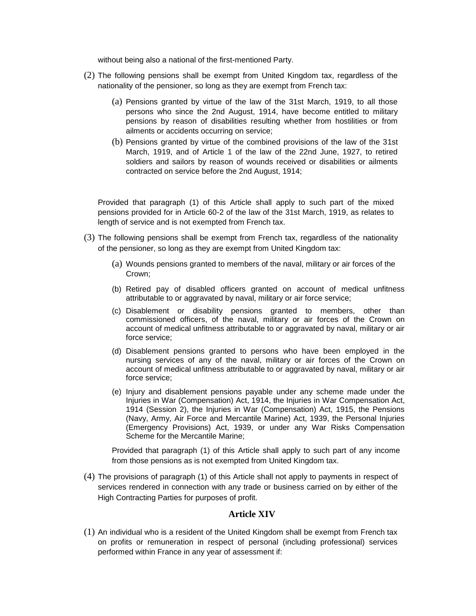without being also a national of the first-mentioned Party.

- (2) The following pensions shall be exempt from United Kingdom tax, regardless of the nationality of the pensioner, so long as they are exempt from French tax:
	- (a) Pensions granted by virtue of the law of the 31st March, 1919, to all those persons who since the 2nd August, 1914, have become entitled to military pensions by reason of disabilities resulting whether from hostilities or from ailments or accidents occurring on service;
	- (b) Pensions granted by virtue of the combined provisions of the law of the 31st March, 1919, and of Article 1 of the law of the 22nd June, 1927, to retired soldiers and sailors by reason of wounds received or disabilities or ailments contracted on service before the 2nd August, 1914;

Provided that paragraph (1) of this Article shall apply to such part of the mixed pensions provided for in Article 60-2 of the law of the 31st March, 1919, as relates to length of service and is not exempted from French tax.

- (3) The following pensions shall be exempt from French tax, regardless of the nationality of the pensioner, so long as they are exempt from United Kingdom tax:
	- (a) Wounds pensions granted to members of the naval, military or air forces of the Crown;
	- (b) Retired pay of disabled officers granted on account of medical unfitness attributable to or aggravated by naval, military or air force service;
	- (c) Disablement or disability pensions granted to members, other than commissioned officers, of the naval, military or air forces of the Crown on account of medical unfitness attributable to or aggravated by naval, military or air force service;
	- (d) Disablement pensions granted to persons who have been employed in the nursing services of any of the naval, military or air forces of the Crown on account of medical unfitness attributable to or aggravated by naval, military or air force service;
	- (e) Injury and disablement pensions payable under any scheme made under the Injuries in War (Compensation) Act, 1914, the Injuries in War Compensation Act, 1914 (Session 2), the Injuries in War (Compensation) Act, 1915, the Pensions (Navy, Army, Air Force and Mercantile Marine) Act, 1939, the Personal Injuries (Emergency Provisions) Act, 1939, or under any War Risks Compensation Scheme for the Mercantile Marine;

Provided that paragraph (1) of this Article shall apply to such part of any income from those pensions as is not exempted from United Kingdom tax.

(4) The provisions of paragraph (1) of this Article shall not apply to payments in respect of services rendered in connection with any trade or business carried on by either of the High Contracting Parties for purposes of profit.

## **Article XIV**

(1) An individual who is a resident of the United Kingdom shall be exempt from French tax on profits or remuneration in respect of personal (including professional) services performed within France in any year of assessment if: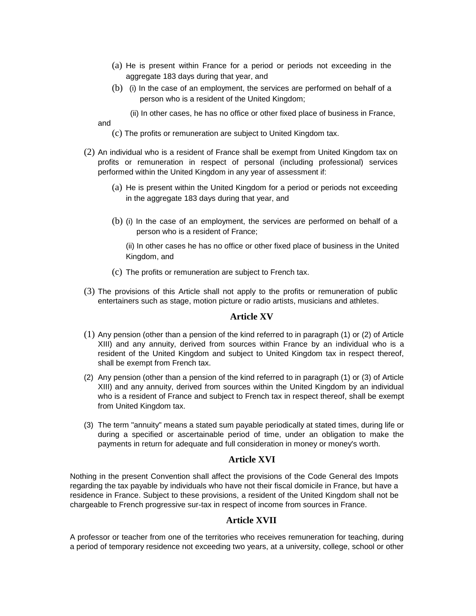- (a) He is present within France for a period or periods not exceeding in the aggregate 183 days during that year, and
- (b) (i) In the case of an employment, the services are performed on behalf of a person who is a resident of the United Kingdom;
	- (ii) In other cases, he has no office or other fixed place of business in France,

and

- (c) The profits or remuneration are subject to United Kingdom tax.
- (2) An individual who is a resident of France shall be exempt from United Kingdom tax on profits or remuneration in respect of personal (including professional) services performed within the United Kingdom in any year of assessment if:
	- (a) He is present within the United Kingdom for a period or periods not exceeding in the aggregate 183 days during that year, and
	- (b) (i) In the case of an employment, the services are performed on behalf of a person who is a resident of France;

(ii) In other cases he has no office or other fixed place of business in the United Kingdom, and

- (c) The profits or remuneration are subject to French tax.
- (3) The provisions of this Article shall not apply to the profits or remuneration of public entertainers such as stage, motion picture or radio artists, musicians and athletes.

#### **Article XV**

- (1) Any pension (other than a pension of the kind referred to in paragraph (1) or (2) of Article XIII) and any annuity, derived from sources within France by an individual who is a resident of the United Kingdom and subject to United Kingdom tax in respect thereof, shall be exempt from French tax.
- (2) Any pension (other than a pension of the kind referred to in paragraph (1) or (3) of Article XIII) and any annuity, derived from sources within the United Kingdom by an individual who is a resident of France and subject to French tax in respect thereof, shall be exempt from United Kingdom tax.
- (3) The term "annuity" means a stated sum payable periodically at stated times, during life or during a specified or ascertainable period of time, under an obligation to make the payments in return for adequate and full consideration in money or money's worth.

## **Article XVI**

Nothing in the present Convention shall affect the provisions of the Code General des Impots regarding the tax payable by individuals who have not their fiscal domicile in France, but have a residence in France. Subject to these provisions, a resident of the United Kingdom shall not be chargeable to French progressive sur-tax in respect of income from sources in France.

#### **Article XVII**

A professor or teacher from one of the territories who receives remuneration for teaching, during a period of temporary residence not exceeding two years, at a university, college, school or other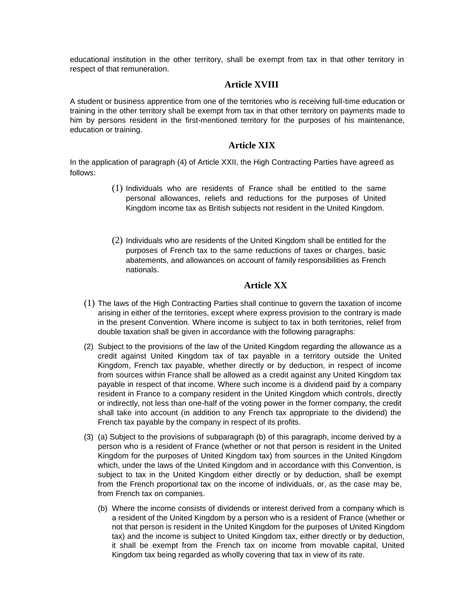educational institution in the other territory, shall be exempt from tax in that other territory in respect of that remuneration.

#### **Article XVIII**

A student or business apprentice from one of the territories who is receiving full-time education or training in the other territory shall be exempt from tax in that other territory on payments made to him by persons resident in the first-mentioned territory for the purposes of his maintenance, education or training.

## **Article XIX**

In the application of paragraph (4) of Article XXII, the High Contracting Parties have agreed as follows:

- (1) Individuals who are residents of France shall be entitled to the same personal allowances, reliefs and reductions for the purposes of United Kingdom income tax as British subjects not resident in the United Kingdom.
- (2) Individuals who are residents of the United Kingdom shall be entitled for the purposes of French tax to the same reductions of taxes or charges, basic abatements, and allowances on account of family responsibilities as French nationals.

## **Article XX**

- (1) The laws of the High Contracting Parties shall continue to govern the taxation of income arising in either of the territories, except where express provision to the contrary is made in the present Convention. Where income is subject to tax in both territories, relief from double taxation shall be given in accordance with the following paragraphs:
- (2) Subject to the provisions of the law of the United Kingdom regarding the allowance as a credit against United Kingdom tax of tax payable in a territory outside the United Kingdom, French tax payable, whether directly or by deduction, in respect of income from sources within France shall be allowed as a credit against any United Kingdom tax payable in respect of that income. Where such income is a dividend paid by a company resident in France to a company resident in the United Kingdom which controls, directly or indirectly, not less than one-half of the voting power in the former company, the credit shall take into account (in addition to any French tax appropriate to the dividend) the French tax payable by the company in respect of its profits.
- (3) (a) Subject to the provisions of subparagraph (b) of this paragraph, income derived by a person who is a resident of France (whether or not that person is resident in the United Kingdom for the purposes of United Kingdom tax) from sources in the United Kingdom which, under the laws of the United Kingdom and in accordance with this Convention, is subject to tax in the United Kingdom either directly or by deduction, shall be exempt from the French proportional tax on the income of individuals, or, as the case may be, from French tax on companies.
	- (b) Where the income consists of dividends or interest derived from a company which is a resident of the United Kingdom by a person who is a resident of France (whether or not that person is resident in the United Kingdom for the purposes of United Kingdom tax) and the income is subject to United Kingdom tax, either directly or by deduction, it shall be exempt from the French tax on income from movable capital, United Kingdom tax being regarded as wholly covering that tax in view of its rate.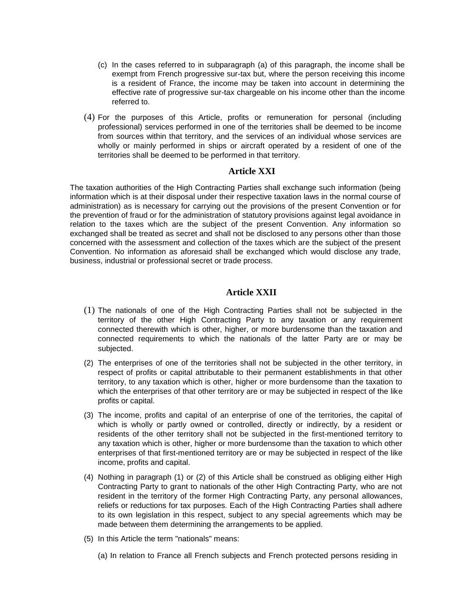- (c) In the cases referred to in subparagraph (a) of this paragraph, the income shall be exempt from French progressive sur-tax but, where the person receiving this income is a resident of France, the income may be taken into account in determining the effective rate of progressive sur-tax chargeable on his income other than the income referred to.
- (4) For the purposes of this Article, profits or remuneration for personal (including professional) services performed in one of the territories shall be deemed to be income from sources within that territory, and the services of an individual whose services are wholly or mainly performed in ships or aircraft operated by a resident of one of the territories shall be deemed to be performed in that territory.

## **Article XXI**

The taxation authorities of the High Contracting Parties shall exchange such information (being information which is at their disposal under their respective taxation laws in the normal course of administration) as is necessary for carrying out the provisions of the present Convention or for the prevention of fraud or for the administration of statutory provisions against legal avoidance in relation to the taxes which are the subject of the present Convention. Any information so exchanged shall be treated as secret and shall not be disclosed to any persons other than those concerned with the assessment and collection of the taxes which are the subject of the present Convention. No information as aforesaid shall be exchanged which would disclose any trade, business, industrial or professional secret or trade process.

## **Article XXII**

- (1) The nationals of one of the High Contracting Parties shall not be subjected in the territory of the other High Contracting Party to any taxation or any requirement connected therewith which is other, higher, or more burdensome than the taxation and connected requirements to which the nationals of the latter Party are or may be subjected.
- (2) The enterprises of one of the territories shall not be subjected in the other territory, in respect of profits or capital attributable to their permanent establishments in that other territory, to any taxation which is other, higher or more burdensome than the taxation to which the enterprises of that other territory are or may be subjected in respect of the like profits or capital.
- (3) The income, profits and capital of an enterprise of one of the territories, the capital of which is wholly or partly owned or controlled, directly or indirectly, by a resident or residents of the other territory shall not be subjected in the first-mentioned territory to any taxation which is other, higher or more burdensome than the taxation to which other enterprises of that first-mentioned territory are or may be subjected in respect of the like income, profits and capital.
- (4) Nothing in paragraph (1) or (2) of this Article shall be construed as obliging either High Contracting Party to grant to nationals of the other High Contracting Party, who are not resident in the territory of the former High Contracting Party, any personal allowances, reliefs or reductions for tax purposes. Each of the High Contracting Parties shall adhere to its own legislation in this respect, subject to any special agreements which may be made between them determining the arrangements to be applied.
- (5) In this Article the term "nationals" means:
	- (a) In relation to France all French subjects and French protected persons residing in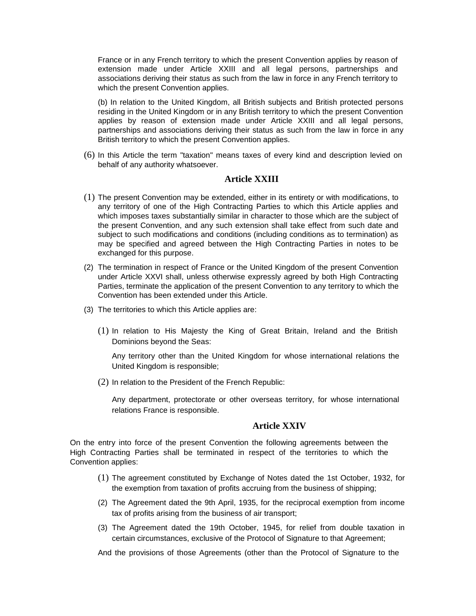France or in any French territory to which the present Convention applies by reason of extension made under Article XXIII and all legal persons, partnerships and associations deriving their status as such from the law in force in any French territory to which the present Convention applies.

(b) In relation to the United Kingdom, all British subjects and British protected persons residing in the United Kingdom or in any British territory to which the present Convention applies by reason of extension made under Article XXIII and all legal persons, partnerships and associations deriving their status as such from the law in force in any British territory to which the present Convention applies.

(6) In this Article the term "taxation" means taxes of every kind and description levied on behalf of any authority whatsoever.

## **Article XXIII**

- (1) The present Convention may be extended, either in its entirety or with modifications, to any territory of one of the High Contracting Parties to which this Article applies and which imposes taxes substantially similar in character to those which are the subject of the present Convention, and any such extension shall take effect from such date and subject to such modifications and conditions (including conditions as to termination) as may be specified and agreed between the High Contracting Parties in notes to be exchanged for this purpose.
- (2) The termination in respect of France or the United Kingdom of the present Convention under Article XXVI shall, unless otherwise expressly agreed by both High Contracting Parties, terminate the application of the present Convention to any territory to which the Convention has been extended under this Article.
- (3) The territories to which this Article applies are:
	- (1) In relation to His Majesty the King of Great Britain, Ireland and the British Dominions beyond the Seas:

Any territory other than the United Kingdom for whose international relations the United Kingdom is responsible;

(2) In relation to the President of the French Republic:

Any department, protectorate or other overseas territory, for whose international relations France is responsible.

#### **Article XXIV**

On the entry into force of the present Convention the following agreements between the High Contracting Parties shall be terminated in respect of the territories to which the Convention applies:

- (1) The agreement constituted by Exchange of Notes dated the 1st October, 1932, for the exemption from taxation of profits accruing from the business of shipping;
- (2) The Agreement dated the 9th April, 1935, for the reciprocal exemption from income tax of profits arising from the business of air transport;
- (3) The Agreement dated the 19th October, 1945, for relief from double taxation in certain circumstances, exclusive of the Protocol of Signature to that Agreement;

And the provisions of those Agreements (other than the Protocol of Signature to the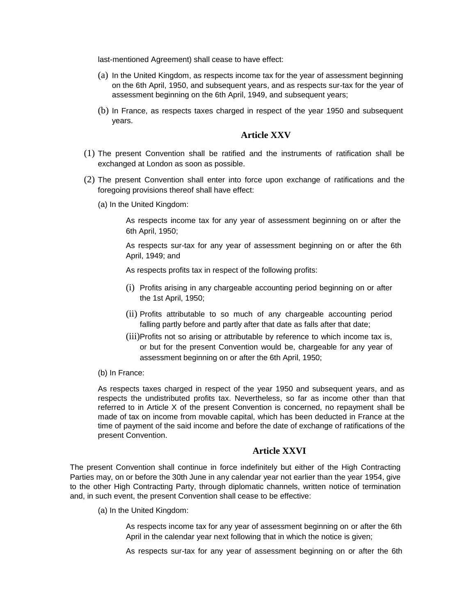last-mentioned Agreement) shall cease to have effect:

- (a) In the United Kingdom, as respects income tax for the year of assessment beginning on the 6th April, 1950, and subsequent years, and as respects sur-tax for the year of assessment beginning on the 6th April, 1949, and subsequent years;
- (b) In France, as respects taxes charged in respect of the year 1950 and subsequent years.

## **Article XXV**

- (1) The present Convention shall be ratified and the instruments of ratification shall be exchanged at London as soon as possible.
- (2) The present Convention shall enter into force upon exchange of ratifications and the foregoing provisions thereof shall have effect:
	- (a) In the United Kingdom:

As respects income tax for any year of assessment beginning on or after the 6th April, 1950;

As respects sur-tax for any year of assessment beginning on or after the 6th April, 1949; and

As respects profits tax in respect of the following profits:

- (i) Profits arising in any chargeable accounting period beginning on or after the 1st April, 1950;
- (ii) Profits attributable to so much of any chargeable accounting period falling partly before and partly after that date as falls after that date;
- (iii)Profits not so arising or attributable by reference to which income tax is, or but for the present Convention would be, chargeable for any year of assessment beginning on or after the 6th April, 1950;
- (b) In France:

As respects taxes charged in respect of the year 1950 and subsequent years, and as respects the undistributed profits tax. Nevertheless, so far as income other than that referred to in Article X of the present Convention is concerned, no repayment shall be made of tax on income from movable capital, which has been deducted in France at the time of payment of the said income and before the date of exchange of ratifications of the present Convention.

## **Article XXVI**

The present Convention shall continue in force indefinitely but either of the High Contracting Parties may, on or before the 30th June in any calendar year not earlier than the year 1954, give to the other High Contracting Party, through diplomatic channels, written notice of termination and, in such event, the present Convention shall cease to be effective:

(a) In the United Kingdom:

As respects income tax for any year of assessment beginning on or after the 6th April in the calendar year next following that in which the notice is given;

As respects sur-tax for any year of assessment beginning on or after the 6th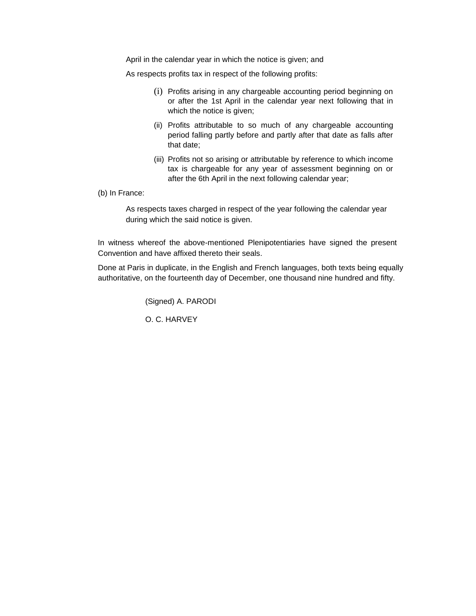April in the calendar year in which the notice is given; and

As respects profits tax in respect of the following profits:

- (i) Profits arising in any chargeable accounting period beginning on or after the 1st April in the calendar year next following that in which the notice is given;
- (ii) Profits attributable to so much of any chargeable accounting period falling partly before and partly after that date as falls after that date;
- (iii) Profits not so arising or attributable by reference to which income tax is chargeable for any year of assessment beginning on or after the 6th April in the next following calendar year;
- (b) In France:

As respects taxes charged in respect of the year following the calendar year during which the said notice is given.

In witness whereof the above-mentioned Plenipotentiaries have signed the present Convention and have affixed thereto their seals.

Done at Paris in duplicate, in the English and French languages, both texts being equally authoritative, on the fourteenth day of December, one thousand nine hundred and fifty.

> (Signed) A. PARODI O. C. HARVEY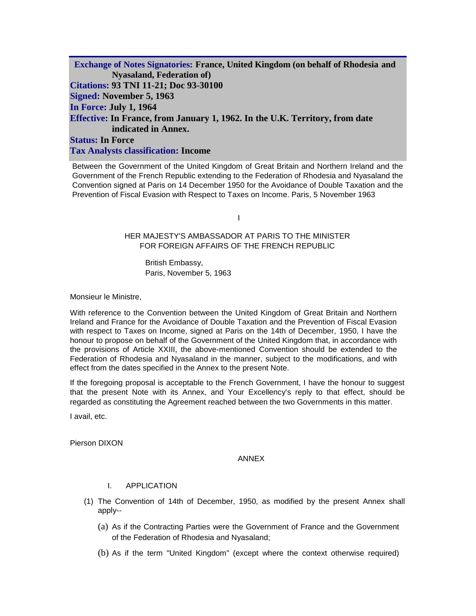**Exchange of Notes Signatories: France, United Kingdom (on behalf of Rhodesia and Nyasaland, Federation of) Citations: 93 TNI 11-21; Doc 93-30100 Signed: November 5, 1963 In Force: July 1, 1964 Effective: In France, from January 1, 1962. In the U.K. Territory, from date indicated in Annex. Status: In Force Tax Analysts classification: Income**

Between the Government of the United Kingdom of Great Britain and Northern Ireland and the Government of the French Republic extending to the Federation of Rhodesia and Nyasaland the Convention signed at Paris on 14 December 1950 for the Avoidance of Double Taxation and the Prevention of Fiscal Evasion with Respect to Taxes on Income. Paris, 5 November 1963

I

HER MAJESTY'S AMBASSADOR AT PARIS TO THE MINISTER FOR FOREIGN AFFAIRS OF THE FRENCH REPUBLIC

British Embassy, Paris, November 5, 1963

Monsieur le Ministre,

With reference to the Convention between the United Kingdom of Great Britain and Northern Ireland and France for the Avoidance of Double Taxation and the Prevention of Fiscal Evasion with respect to Taxes on Income, signed at Paris on the 14th of December, 1950, I have the honour to propose on behalf of the Government of the United Kingdom that, in accordance with the provisions of Article XXIII, the above-mentioned Convention should be extended to the Federation of Rhodesia and Nyasaland in the manner, subject to the modifications, and with effect from the dates specified in the Annex to the present Note.

If the foregoing proposal is acceptable to the French Government, I have the honour to suggest that the present Note with its Annex, and Your Excellency's reply to that effect, should be regarded as constituting the Agreement reached between the two Governments in this matter.

I avail, etc.

Pierson DIXON

#### ANNEX

- I. APPLICATION
- (1) The Convention of 14th of December, 1950, as modified by the present Annex shall apply--
	- (a) As if the Contracting Parties were the Government of France and the Government of the Federation of Rhodesia and Nyasaland;
	- (b) As if the term "United Kingdom" (except where the context otherwise required)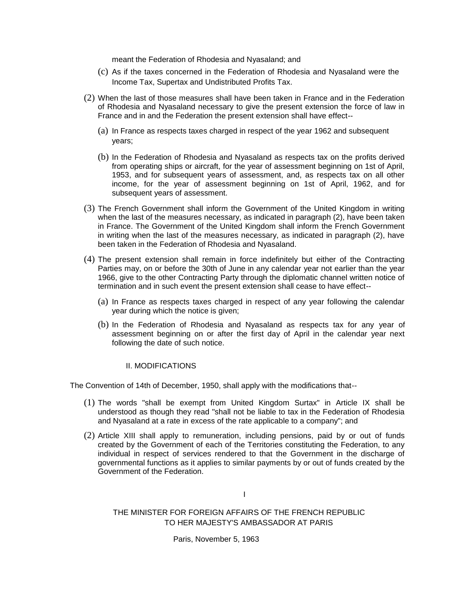meant the Federation of Rhodesia and Nyasaland; and

- (c) As if the taxes concerned in the Federation of Rhodesia and Nyasaland were the Income Tax, Supertax and Undistributed Profits Tax.
- (2) When the last of those measures shall have been taken in France and in the Federation of Rhodesia and Nyasaland necessary to give the present extension the force of law in France and in and the Federation the present extension shall have effect--
	- (a) In France as respects taxes charged in respect of the year 1962 and subsequent years;
	- (b) In the Federation of Rhodesia and Nyasaland as respects tax on the profits derived from operating ships or aircraft, for the year of assessment beginning on 1st of April, 1953, and for subsequent years of assessment, and, as respects tax on all other income, for the year of assessment beginning on 1st of April, 1962, and for subsequent years of assessment.
- (3) The French Government shall inform the Government of the United Kingdom in writing when the last of the measures necessary, as indicated in paragraph (2), have been taken in France. The Government of the United Kingdom shall inform the French Government in writing when the last of the measures necessary, as indicated in paragraph (2), have been taken in the Federation of Rhodesia and Nyasaland.
- (4) The present extension shall remain in force indefinitely but either of the Contracting Parties may, on or before the 30th of June in any calendar year not earlier than the year 1966, give to the other Contracting Party through the diplomatic channel written notice of termination and in such event the present extension shall cease to have effect--
	- (a) In France as respects taxes charged in respect of any year following the calendar year during which the notice is given;
	- (b) In the Federation of Rhodesia and Nyasaland as respects tax for any year of assessment beginning on or after the first day of April in the calendar year next following the date of such notice.

#### II. MODIFICATIONS

The Convention of 14th of December, 1950, shall apply with the modifications that--

- (1) The words "shall be exempt from United Kingdom Surtax" in Article IX shall be understood as though they read "shall not be liable to tax in the Federation of Rhodesia and Nyasaland at a rate in excess of the rate applicable to a company"; and
- (2) Article XIII shall apply to remuneration, including pensions, paid by or out of funds created by the Government of each of the Territories constituting the Federation, to any individual in respect of services rendered to that the Government in the discharge of governmental functions as it applies to similar payments by or out of funds created by the Government of the Federation.

I

THE MINISTER FOR FOREIGN AFFAIRS OF THE FRENCH REPUBLIC TO HER MAJESTY'S AMBASSADOR AT PARIS

Paris, November 5, 1963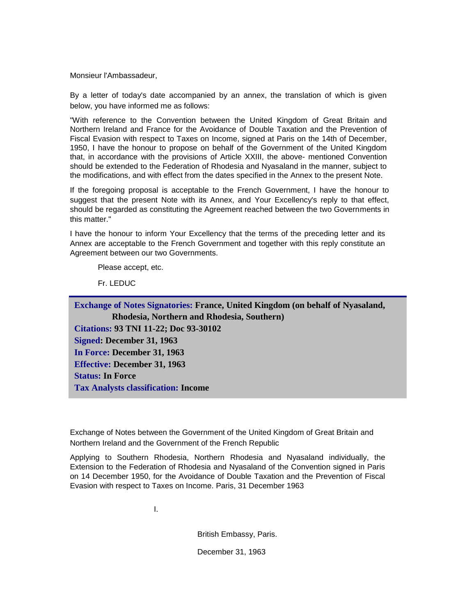Monsieur l'Ambassadeur,

By a letter of today's date accompanied by an annex, the translation of which is given below, you have informed me as follows:

"With reference to the Convention between the United Kingdom of Great Britain and Northern Ireland and France for the Avoidance of Double Taxation and the Prevention of Fiscal Evasion with respect to Taxes on Income, signed at Paris on the 14th of December, 1950, I have the honour to propose on behalf of the Government of the United Kingdom that, in accordance with the provisions of Article XXIII, the above- mentioned Convention should be extended to the Federation of Rhodesia and Nyasaland in the manner, subject to the modifications, and with effect from the dates specified in the Annex to the present Note.

If the foregoing proposal is acceptable to the French Government, I have the honour to suggest that the present Note with its Annex, and Your Excellency's reply to that effect, should be regarded as constituting the Agreement reached between the two Governments in this matter."

I have the honour to inform Your Excellency that the terms of the preceding letter and its Annex are acceptable to the French Government and together with this reply constitute an Agreement between our two Governments.

Please accept, etc.

Fr. LEDUC

**Exchange of Notes Signatories: France, United Kingdom (on behalf of Nyasaland, Rhodesia, Northern and Rhodesia, Southern) Citations: 93 TNI 11-22; Doc 93-30102 Signed: December 31, 1963 In Force: December 31, 1963 Effective: December 31, 1963 Status: In Force Tax Analysts classification: Income**

Exchange of Notes between the Government of the United Kingdom of Great Britain and Northern Ireland and the Government of the French Republic

Applying to Southern Rhodesia, Northern Rhodesia and Nyasaland individually, the Extension to the Federation of Rhodesia and Nyasaland of the Convention signed in Paris on 14 December 1950, for the Avoidance of Double Taxation and the Prevention of Fiscal Evasion with respect to Taxes on Income. Paris, 31 December 1963

I.

British Embassy, Paris.

December 31, 1963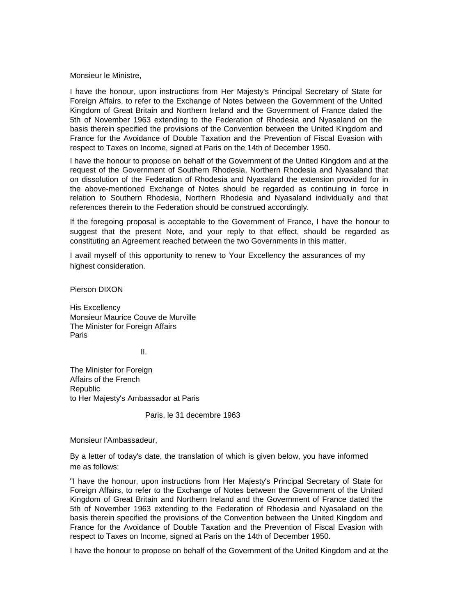#### Monsieur le Ministre,

I have the honour, upon instructions from Her Majesty's Principal Secretary of State for Foreign Affairs, to refer to the Exchange of Notes between the Government of the United Kingdom of Great Britain and Northern Ireland and the Government of France dated the 5th of November 1963 extending to the Federation of Rhodesia and Nyasaland on the basis therein specified the provisions of the Convention between the United Kingdom and France for the Avoidance of Double Taxation and the Prevention of Fiscal Evasion with respect to Taxes on Income, signed at Paris on the 14th of December 1950.

I have the honour to propose on behalf of the Government of the United Kingdom and at the request of the Government of Southern Rhodesia, Northern Rhodesia and Nyasaland that on dissolution of the Federation of Rhodesia and Nyasaland the extension provided for in the above-mentioned Exchange of Notes should be regarded as continuing in force in relation to Southern Rhodesia, Northern Rhodesia and Nyasaland individually and that references therein to the Federation should be construed accordingly.

If the foregoing proposal is acceptable to the Government of France, I have the honour to suggest that the present Note, and your reply to that effect, should be regarded as constituting an Agreement reached between the two Governments in this matter.

I avail myself of this opportunity to renew to Your Excellency the assurances of my highest consideration.

Pierson DIXON

His Excellency Monsieur Maurice Couve de Murville The Minister for Foreign Affairs Paris

II.

The Minister for Foreign Affairs of the French **Republic** to Her Majesty's Ambassador at Paris

Paris, le 31 decembre 1963

Monsieur l'Ambassadeur,

By a letter of today's date, the translation of which is given below, you have informed me as follows:

"I have the honour, upon instructions from Her Majesty's Principal Secretary of State for Foreign Affairs, to refer to the Exchange of Notes between the Government of the United Kingdom of Great Britain and Northern Ireland and the Government of France dated the 5th of November 1963 extending to the Federation of Rhodesia and Nyasaland on the basis therein specified the provisions of the Convention between the United Kingdom and France for the Avoidance of Double Taxation and the Prevention of Fiscal Evasion with respect to Taxes on Income, signed at Paris on the 14th of December 1950.

I have the honour to propose on behalf of the Government of the United Kingdom and at the